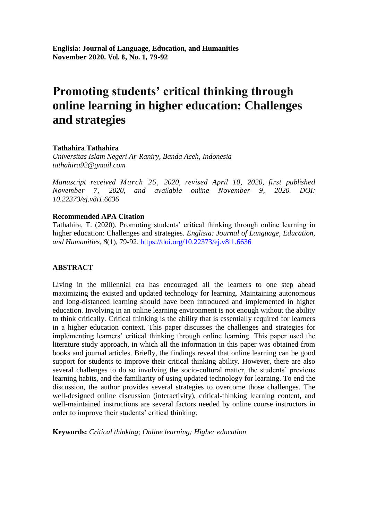# **Promoting students' critical thinking through online learning in higher education: Challenges and strategies**

# **Tathahira Tathahira**

*Universitas Islam Negeri Ar-Raniry, Banda Aceh, Indonesia tathahira92@gmail.com*

*Manuscript received March 25, 2020, revised April 10, 2020, first published November 7, 2020, and available online November 9, 2020. DOI: 10.22373/ej.v8i1.6636*

# **Recommended APA Citation**

Tathahira, T. (2020). Promoting students" critical thinking through online learning in higher education: Challenges and strategies. *Englisia: Journal of Language, Education, and Humanities, 8*(1), 79-92.<https://doi.org/10.22373/ej.v8i1.6636>

# **ABSTRACT**

Living in the millennial era has encouraged all the learners to one step ahead maximizing the existed and updated technology for learning. Maintaining autonomous and long-distanced learning should have been introduced and implemented in higher education. Involving in an online learning environment is not enough without the ability to think critically. Critical thinking is the ability that is essentially required for learners in a higher education context. This paper discusses the challenges and strategies for implementing learners" critical thinking through online learning. This paper used the literature study approach, in which all the information in this paper was obtained from books and journal articles. Briefly, the findings reveal that online learning can be good support for students to improve their critical thinking ability. However, there are also several challenges to do so involving the socio-cultural matter, the students' previous learning habits, and the familiarity of using updated technology for learning. To end the discussion, the author provides several strategies to overcome those challenges. The well-designed online discussion (interactivity), critical-thinking learning content, and well-maintained instructions are several factors needed by online course instructors in order to improve their students' critical thinking.

**Keywords:** *Critical thinking; Online learning; Higher education*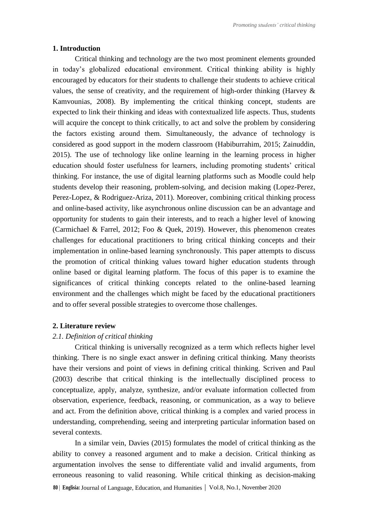#### **1. Introduction**

Critical thinking and technology are the two most prominent elements grounded in today"s globalized educational environment. Critical thinking ability is highly encouraged by educators for their students to challenge their students to achieve critical values, the sense of creativity, and the requirement of high-order thinking (Harvey & Kamvounias, 2008). By implementing the critical thinking concept, students are expected to link their thinking and ideas with contextualized life aspects. Thus, students will acquire the concept to think critically, to act and solve the problem by considering the factors existing around them. Simultaneously, the advance of technology is considered as good support in the modern classroom (Habiburrahim, 2015; Zainuddin, 2015). The use of technology like online learning in the learning process in higher education should foster usefulness for learners, including promoting students' critical thinking. For instance, the use of digital learning platforms such as Moodle could help students develop their reasoning, problem-solving, and decision making (Lopez-Perez, Perez-Lopez, & Rodriguez-Ariza, 2011). Moreover, combining critical thinking process and online-based activity, like asynchronous online discussion can be an advantage and opportunity for students to gain their interests, and to reach a higher level of knowing (Carmichael & Farrel, 2012; Foo & Quek, 2019). However, this phenomenon creates challenges for educational practitioners to bring critical thinking concepts and their implementation in online-based learning synchronously. This paper attempts to discuss the promotion of critical thinking values toward higher education students through online based or digital learning platform. The focus of this paper is to examine the significances of critical thinking concepts related to the online-based learning environment and the challenges which might be faced by the educational practitioners and to offer several possible strategies to overcome those challenges.

#### **2. Literature review**

# *2.1. Definition of critical thinking*

Critical thinking is universally recognized as a term which reflects higher level thinking. There is no single exact answer in defining critical thinking. Many theorists have their versions and point of views in defining critical thinking. Scriven and Paul (2003) describe that critical thinking is the intellectually disciplined process to conceptualize, apply, analyze, synthesize, and/or evaluate information collected from observation, experience, feedback, reasoning, or communication, as a way to believe and act. From the definition above, critical thinking is a complex and varied process in understanding, comprehending, seeing and interpreting particular information based on several contexts.

In a similar vein, Davies (2015) formulates the model of critical thinking as the ability to convey a reasoned argument and to make a decision. Critical thinking as argumentation involves the sense to differentiate valid and invalid arguments, from erroneous reasoning to valid reasoning. While critical thinking as decision-making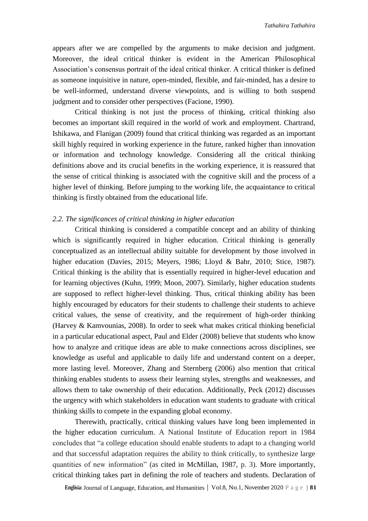appears after we are compelled by the arguments to make decision and judgment. Moreover, the ideal critical thinker is evident in the American Philosophical Association"s consensus portrait of the ideal critical thinker. A critical thinker is defined as someone inquisitive in nature, open-minded, flexible, and fair-minded, has a desire to be well-informed, understand diverse viewpoints, and is willing to both suspend judgment and to consider other perspectives (Facione, 1990).

Critical thinking is not just the process of thinking, critical thinking also becomes an important skill required in the world of work and employment. Chartrand, Ishikawa, and Flanigan (2009) found that critical thinking was regarded as an important skill highly required in working experience in the future, ranked higher than innovation or information and technology knowledge. Considering all the critical thinking definitions above and its crucial benefits in the working experience, it is reassured that the sense of critical thinking is associated with the cognitive skill and the process of a higher level of thinking. Before jumping to the working life, the acquaintance to critical thinking is firstly obtained from the educational life.

#### *2.2. The significances of critical thinking in higher education*

Critical thinking is considered a compatible concept and an ability of thinking which is significantly required in higher education. Critical thinking is generally conceptualized as an intellectual ability suitable for development by those involved in higher education (Davies, 2015; Meyers, 1986; Lloyd & Bahr, 2010; Stice, 1987). Critical thinking is the ability that is essentially required in higher-level education and for learning objectives (Kuhn, 1999; Moon, 2007). Similarly, higher education students are supposed to reflect higher-level thinking. Thus, critical thinking ability has been highly encouraged by educators for their students to challenge their students to achieve critical values, the sense of creativity, and the requirement of high-order thinking (Harvey & Kamvounias, 2008). In order to seek what makes critical thinking beneficial in a particular educational aspect, Paul and Elder (2008) believe that students who know how to analyze and critique ideas are able to make connections across disciplines, see knowledge as useful and applicable to daily life and understand content on a deeper, more lasting level. Moreover, Zhang and Sternberg (2006) also mention that critical thinking enables students to assess their learning styles, strengths and weaknesses, and allows them to take ownership of their education. Additionally, Peck (2012) discusses the urgency with which stakeholders in education want students to graduate with critical thinking skills to compete in the expanding global economy.

Therewith, practically, critical thinking values have long been implemented in the higher education curriculum. A National Institute of Education report in 1984 concludes that "a college education should enable students to adapt to a changing world and that successful adaptation requires the ability to think critically, to synthesize large quantities of new information" (as cited in McMillan, 1987, p. 3). More importantly, critical thinking takes part in defining the role of teachers and students. Declaration of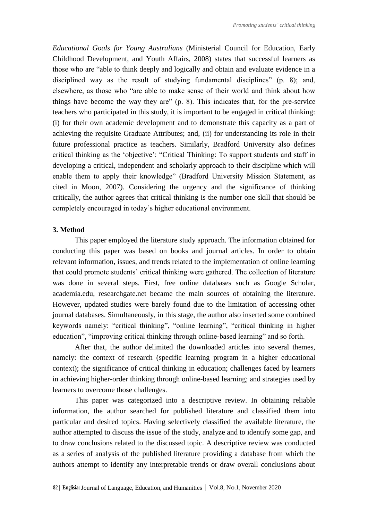*Educational Goals for Young Australians* (Ministerial Council for Education, Early Childhood Development, and Youth Affairs, 2008) states that successful learners as those who are "able to think deeply and logically and obtain and evaluate evidence in a disciplined way as the result of studying fundamental disciplines" (p. 8); and, elsewhere, as those who "are able to make sense of their world and think about how things have become the way they are" (p. 8). This indicates that, for the pre-service teachers who participated in this study, it is important to be engaged in critical thinking: (i) for their own academic development and to demonstrate this capacity as a part of achieving the requisite Graduate Attributes; and, (ii) for understanding its role in their future professional practice as teachers. Similarly, Bradford University also defines critical thinking as the "objective": "Critical Thinking: To support students and staff in developing a critical, independent and scholarly approach to their discipline which will enable them to apply their knowledge" (Bradford University Mission Statement, as cited in Moon, 2007). Considering the urgency and the significance of thinking critically, the author agrees that critical thinking is the number one skill that should be completely encouraged in today"s higher educational environment.

#### **3. Method**

This paper employed the literature study approach. The information obtained for conducting this paper was based on books and journal articles. In order to obtain relevant information, issues, and trends related to the implementation of online learning that could promote students" critical thinking were gathered. The collection of literature was done in several steps. First, free online databases such as Google Scholar, academia.edu, researchgate.net became the main sources of obtaining the literature. However, updated studies were barely found due to the limitation of accessing other journal databases. Simultaneously, in this stage, the author also inserted some combined keywords namely: "critical thinking", "online learning", "critical thinking in higher education", "improving critical thinking through online-based learning" and so forth.

After that, the author delimited the downloaded articles into several themes, namely: the context of research (specific learning program in a higher educational context); the significance of critical thinking in education; challenges faced by learners in achieving higher-order thinking through online-based learning; and strategies used by learners to overcome those challenges.

This paper was categorized into a descriptive review. In obtaining reliable information, the author searched for published literature and classified them into particular and desired topics. Having selectively classified the available literature, the author attempted to discuss the issue of the study, analyze and to identify some gap, and to draw conclusions related to the discussed topic. A descriptive review was conducted as a series of analysis of the published literature providing a database from which the authors attempt to identify any interpretable trends or draw overall conclusions about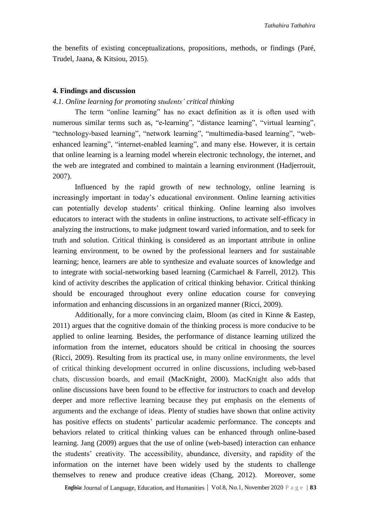the benefits of existing conceptualizations, propositions, methods, or findings (Paré, Trudel, Jaana, & Kitsiou, 2015).

#### **4. Findings and discussion**

#### *4.1. Online learning for promoting students' critical thinking*

The term "online learning" has no exact definition as it is often used with numerous similar terms such as, "e-learning", "distance learning", "virtual learning", "technology-based learning", "network learning", "multimedia-based learning", "webenhanced learning", "internet-enabled learning", and many else. However, it is certain that online learning is a learning model wherein electronic technology, the internet, and the web are integrated and combined to maintain a learning environment (Hadjerrouit, 2007).

Influenced by the rapid growth of new technology, online learning is increasingly important in today's educational environment. Online learning activities can potentially develop students' critical thinking. Online learning also involves educators to interact with the students in online instructions, to activate self-efficacy in analyzing the instructions, to make judgment toward varied information, and to seek for truth and solution. Critical thinking is considered as an important attribute in online learning environment, to be owned by the professional learners and for sustainable learning; hence, learners are able to synthesize and evaluate sources of knowledge and to integrate with social-networking based learning (Carmichael & Farrell, 2012). This kind of activity describes the application of critical thinking behavior. Critical thinking should be encouraged throughout every online education course for conveying information and enhancing discussions in an organized manner (Ricci, 2009).

Additionally, for a more convincing claim, Bloom (as cited in Kinne & Eastep, 2011) argues that the cognitive domain of the thinking process is more conducive to be applied to online learning. Besides, the performance of distance learning utilized the information from the internet, educators should be critical in choosing the sources (Ricci, 2009). Resulting from its practical use, in many online environments, the level of critical thinking development occurred in online discussions, including web-based chats, discussion boards, and email (MacKnight, 2000). MacKnight also adds that online discussions have been found to be effective for instructors to coach and develop deeper and more reflective learning because they put emphasis on the elements of arguments and the exchange of ideas. Plenty of studies have shown that online activity has positive effects on students' particular academic performance. The concepts and behaviors related to critical thinking values can be enhanced through online-based learning. Jang (2009) argues that the use of online (web-based) interaction can enhance the students" creativity. The accessibility, abundance, diversity, and rapidity of the information on the internet have been widely used by the students to challenge themselves to renew and produce creative ideas (Chang, 2012). Moreover, some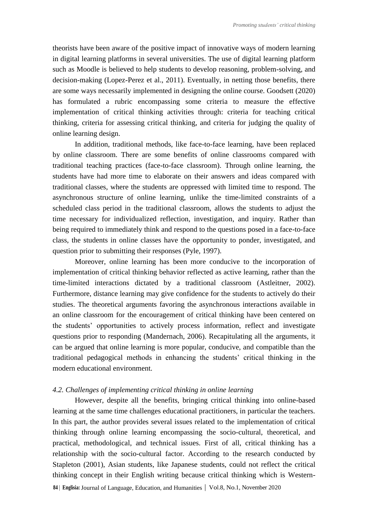theorists have been aware of the positive impact of innovative ways of modern learning in digital learning platforms in several universities. The use of digital learning platform such as Moodle is believed to help students to develop reasoning, problem-solving, and decision-making (Lopez-Perez et al., 2011). Eventually, in netting those benefits, there are some ways necessarily implemented in designing the online course. Goodsett (2020) has formulated a rubric encompassing some criteria to measure the effective implementation of critical thinking activities through: criteria for teaching critical thinking, criteria for assessing critical thinking, and criteria for judging the quality of online learning design.

In addition, traditional methods, like face-to-face learning, have been replaced by online classroom. There are some benefits of online classrooms compared with traditional teaching practices (face-to-face classroom). Through online learning, the students have had more time to elaborate on their answers and ideas compared with traditional classes, where the students are oppressed with limited time to respond. The asynchronous structure of online learning, unlike the time-limited constraints of a scheduled class period in the traditional classroom, allows the students to adjust the time necessary for individualized reflection, investigation, and inquiry. Rather than being required to immediately think and respond to the questions posed in a face-to-face class, the students in online classes have the opportunity to ponder, investigated, and question prior to submitting their responses (Pyle, 1997).

Moreover, online learning has been more conducive to the incorporation of implementation of critical thinking behavior reflected as active learning, rather than the time-limited interactions dictated by a traditional classroom (Astleitner, 2002). Furthermore, distance learning may give confidence for the students to actively do their studies. The theoretical arguments favoring the asynchronous interactions available in an online classroom for the encouragement of critical thinking have been centered on the students" opportunities to actively process information, reflect and investigate questions prior to responding (Mandernach, 2006). Recapitulating all the arguments, it can be argued that online learning is more popular, conducive, and compatible than the traditional pedagogical methods in enhancing the students" critical thinking in the modern educational environment.

## *4.2. Challenges of implementing critical thinking in online learning*

However, despite all the benefits, bringing critical thinking into online-based learning at the same time challenges educational practitioners, in particular the teachers. In this part, the author provides several issues related to the implementation of critical thinking through online learning encompassing the socio-cultural, theoretical, and practical, methodological, and technical issues. First of all, critical thinking has a relationship with the socio-cultural factor. According to the research conducted by Stapleton (2001), Asian students, like Japanese students, could not reflect the critical thinking concept in their English writing because critical thinking which is Western-

**<sup>84</sup>** <sup>|</sup>**Englisia:** Journal of Language, Education, and Humanities **|** Vol.8, No.1, November 2020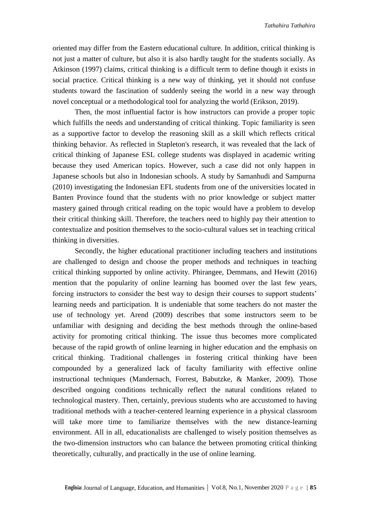oriented may differ from the Eastern educational culture. In addition, critical thinking is not just a matter of culture, but also it is also hardly taught for the students socially. As Atkinson (1997) claims, critical thinking is a difficult term to define though it exists in social practice. Critical thinking is a new way of thinking, yet it should not confuse students toward the fascination of suddenly seeing the world in a new way through novel conceptual or a methodological tool for analyzing the world (Erikson, 2019).

Then, the most influential factor is how instructors can provide a proper topic which fulfills the needs and understanding of critical thinking. Topic familiarity is seen as a supportive factor to develop the reasoning skill as a skill which reflects critical thinking behavior. As reflected in Stapleton's research, it was revealed that the lack of critical thinking of Japanese ESL college students was displayed in academic writing because they used American topics. However, such a case did not only happen in Japanese schools but also in Indonesian schools. A study by Samanhudi and Sampurna (2010) investigating the Indonesian EFL students from one of the universities located in Banten Province found that the students with no prior knowledge or subject matter mastery gained through critical reading on the topic would have a problem to develop their critical thinking skill. Therefore, the teachers need to highly pay their attention to contextualize and position themselves to the socio-cultural values set in teaching critical thinking in diversities.

Secondly, the higher educational practitioner including teachers and institutions are challenged to design and choose the proper methods and techniques in teaching critical thinking supported by online activity. Phirangee, Demmans, and Hewitt (2016) mention that the popularity of online learning has boomed over the last few years, forcing instructors to consider the best way to design their courses to support students' learning needs and participation. It is undeniable that some teachers do not master the use of technology yet. Arend (2009) describes that some instructors seem to be unfamiliar with designing and deciding the best methods through the online-based activity for promoting critical thinking. The issue thus becomes more complicated because of the rapid growth of online learning in higher education and the emphasis on critical thinking. Traditional challenges in fostering critical thinking have been compounded by a generalized lack of faculty familiarity with effective online instructional techniques (Mandernach, Forrest, Babutzke, & Manker, 2009). Those described ongoing conditions technically reflect the natural conditions related to technological mastery. Then, certainly, previous students who are accustomed to having traditional methods with a teacher-centered learning experience in a physical classroom will take more time to familiarize themselves with the new distance-learning environment. All in all, educationalists are challenged to wisely position themselves as the two-dimension instructors who can balance the between promoting critical thinking theoretically, culturally, and practically in the use of online learning.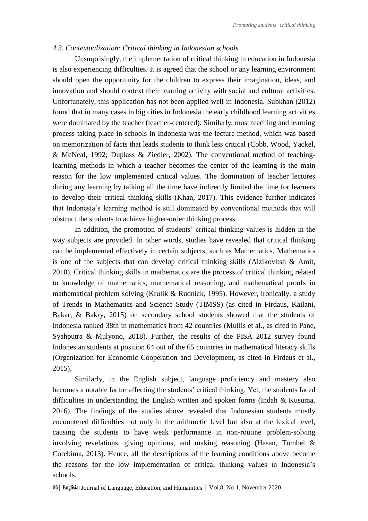## *4.3. Contextualization: Critical thinking in Indonesian schools*

Unsurprisingly, the implementation of critical thinking in education in Indonesia is also experiencing difficulties. It is agreed that the school or any learning environment should open the opportunity for the children to express their imagination, ideas, and innovation and should context their learning activity with social and cultural activities. Unfortunately, this application has not been applied well in Indonesia. Subkhan (2012) found that in many cases in big cities in Indonesia the early childhood learning activities were dominated by the teacher (teacher-centered). Similarly, most teaching and learning process taking place in schools in Indonesia was the lecture method, which was based on memorization of facts that leads students to think less critical (Cobb, Wood, Yackel, & McNeal, 1992; Duplass & Ziedler, 2002). The conventional method of teachinglearning methods in which a teacher becomes the center of the learning is the main reason for the low implemented critical values. The domination of teacher lectures during any learning by talking all the time have indirectly limited the time for learners to develop their critical thinking skills (Khan, 2017). This evidence further indicates that Indonesia"s learning method is still dominated by conventional methods that will obstruct the students to achieve higher-order thinking process.

In addition, the promotion of students' critical thinking values is hidden in the way subjects are provided. In other words, studies have revealed that critical thinking can be implemented effectively in certain subjects, such as Mathematics. Mathematics is one of the subjects that can develop critical thinking skills (Aizikovitsh & Amit, 2010). Critical thinking skills in mathematics are the process of critical thinking related to knowledge of mathematics, mathematical reasoning, and mathematical proofs in mathematical problem solving (Krulik & Rudnick, 1995). However, ironically, a study of Trends in Mathematics and Science Study (TIMSS) (as cited in Firdaus, Kailani, Bakar, & Bakry, 2015) on secondary school students showed that the students of Indonesia ranked 38th in mathematics from 42 countries (Mullis et al., as cited in Pane, Syahputra & Mulyono, 2018). Further, the results of the PISA 2012 survey found Indonesian students at position 64 out of the 65 countries in mathematical literacy skills (Organization for Economic Cooperation and Development, as cited in Firdaus et al., 2015).

Similarly, in the English subject, language proficiency and mastery also becomes a notable factor affecting the students" critical thinking. Yet, the students faced difficulties in understanding the English written and spoken forms (Indah & Kusuma, 2016). The findings of the studies above revealed that Indonesian students mostly encountered difficulties not only in the arithmetic level but also at the lexical level, causing the students to have weak performance in non-routine problem-solving involving revelations, giving opinions, and making reasoning (Hasan, Tumbel & Corebima, 2013). Hence, all the descriptions of the learning conditions above become the reasons for the low implementation of critical thinking values in Indonesia"s schools.

**<sup>86</sup>** <sup>|</sup>**Englisia:** Journal of Language, Education, and Humanities **|** Vol.8, No.1, November 2020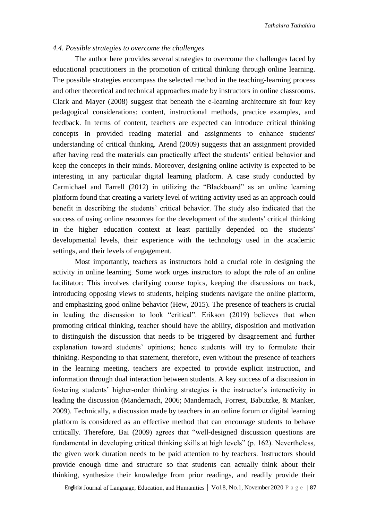## *4.4. Possible strategies to overcome the challenges*

The author here provides several strategies to overcome the challenges faced by educational practitioners in the promotion of critical thinking through online learning. The possible strategies encompass the selected method in the teaching-learning process and other theoretical and technical approaches made by instructors in online classrooms. Clark and Mayer (2008) suggest that beneath the e-learning architecture sit four key pedagogical considerations: content, instructional methods, practice examples, and feedback. In terms of content, teachers are expected can introduce critical thinking concepts in provided reading material and assignments to enhance students' understanding of critical thinking. Arend (2009) suggests that an assignment provided after having read the materials can practically affect the students' critical behavior and keep the concepts in their minds. Moreover, designing online activity is expected to be interesting in any particular digital learning platform. A case study conducted by Carmichael and Farrell (2012) in utilizing the "Blackboard" as an online learning platform found that creating a variety level of writing activity used as an approach could benefit in describing the students" critical behavior. The study also indicated that the success of using online resources for the development of the students' critical thinking in the higher education context at least partially depended on the students" developmental levels, their experience with the technology used in the academic settings, and their levels of engagement.

Most importantly, teachers as instructors hold a crucial role in designing the activity in online learning. Some work urges instructors to adopt the role of an online facilitator: This involves clarifying course topics, keeping the discussions on track, introducing opposing views to students, helping students navigate the online platform, and emphasizing good online behavior (Hew, 2015). The presence of teachers is crucial in leading the discussion to look "critical". Erikson (2019) believes that when promoting critical thinking, teacher should have the ability, disposition and motivation to distinguish the discussion that needs to be triggered by disagreement and further explanation toward students" opinions; hence students will try to formulate their thinking. Responding to that statement, therefore, even without the presence of teachers in the learning meeting, teachers are expected to provide explicit instruction, and information through dual interaction between students. A key success of a discussion in fostering students' higher-order thinking strategies is the instructor's interactivity in leading the discussion (Mandernach, 2006; Mandernach, Forrest, Babutzke, & Manker, 2009). Technically, a discussion made by teachers in an online forum or digital learning platform is considered as an effective method that can encourage students to behave critically. Therefore, Bai (2009) agrees that "well-designed discussion questions are fundamental in developing critical thinking skills at high levels" (p. 162). Nevertheless, the given work duration needs to be paid attention to by teachers. Instructors should provide enough time and structure so that students can actually think about their thinking, synthesize their knowledge from prior readings, and readily provide their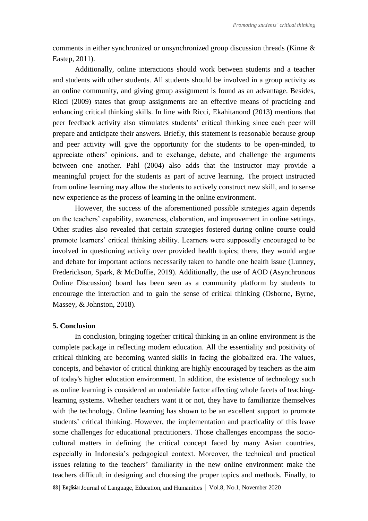comments in either synchronized or unsynchronized group discussion threads (Kinne & Eastep, 2011).

Additionally, online interactions should work between students and a teacher and students with other students. All students should be involved in a group activity as an online community, and giving group assignment is found as an advantage. Besides, Ricci (2009) states that group assignments are an effective means of practicing and enhancing critical thinking skills. In line with Ricci, Ekahitanond (2013) mentions that peer feedback activity also stimulates students" critical thinking since each peer will prepare and anticipate their answers. Briefly, this statement is reasonable because group and peer activity will give the opportunity for the students to be open-minded, to appreciate others" opinions, and to exchange, debate, and challenge the arguments between one another. Pahl (2004) also adds that the instructor may provide a meaningful project for the students as part of active learning. The project instructed from online learning may allow the students to actively construct new skill, and to sense new experience as the process of learning in the online environment.

However, the success of the aforementioned possible strategies again depends on the teachers" capability, awareness, elaboration, and improvement in online settings. Other studies also revealed that certain strategies fostered during online course could promote learners" critical thinking ability. Learners were supposedly encouraged to be involved in questioning activity over provided health topics; there, they would argue and debate for important actions necessarily taken to handle one health issue (Lunney, Frederickson, Spark, & McDuffie, 2019). Additionally, the use of AOD (Asynchronous Online Discussion) board has been seen as a community platform by students to encourage the interaction and to gain the sense of critical thinking (Osborne, Byrne, Massey, & Johnston, 2018).

#### **5. Conclusion**

In conclusion, bringing together critical thinking in an online environment is the complete package in reflecting modern education. All the essentiality and positivity of critical thinking are becoming wanted skills in facing the globalized era. The values, concepts, and behavior of critical thinking are highly encouraged by teachers as the aim of today's higher education environment. In addition, the existence of technology such as online learning is considered an undeniable factor affecting whole facets of teachinglearning systems. Whether teachers want it or not, they have to familiarize themselves with the technology. Online learning has shown to be an excellent support to promote students' critical thinking. However, the implementation and practicality of this leave some challenges for educational practitioners. Those challenges encompass the sociocultural matters in defining the critical concept faced by many Asian countries, especially in Indonesia"s pedagogical context. Moreover, the technical and practical issues relating to the teachers' familiarity in the new online environment make the teachers difficult in designing and choosing the proper topics and methods. Finally, to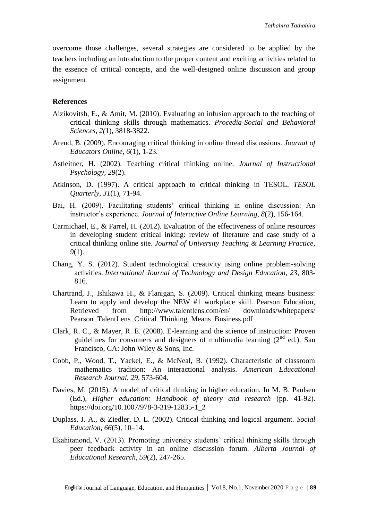overcome those challenges, several strategies are considered to be applied by the teachers including an introduction to the proper content and exciting activities related to the essence of critical concepts, and the well-designed online discussion and group assignment.

## **References**

- Aizikovitsh, E., & Amit, M. (2010). Evaluating an infusion approach to the teaching of critical thinking skills through mathematics. *Procedia-Social and Behavioral Sciences, 2(*1), 3818-3822.
- Arend, B. (2009). Encouraging critical thinking in online thread discussions. *Journal of Educators Online, 6*(1), 1-23.
- Astleitner, H. (2002). Teaching critical thinking online. *Journal of Instructional Psychology, 29*(2).
- Atkinson, D. (1997). A critical approach to critical thinking in TESOL. *TESOL Quarterly, 31*(1), 71-94.
- Bai, H. (2009). Facilitating students' critical thinking in online discussion: An instructor"s experience. *Journal of Interactive Online Learning, 8*(2), 156-164.
- Carmichael, E., & Farrel, H. (2012). Evaluation of the effectiveness of online resources in developing student critical inking: review of literature and case study of a critical thinking online site. *Journal of University Teaching & Learning Practice, 9*(1).
- Chang, Y. S. (2012). Student technological creativity using online problem-solving activities. *International Journal of Technology and Design Education, 23,* 803- 816.
- Chartrand, J., Ishikawa H., & Flanigan, S. (2009). Critical thinking means business: Learn to apply and develop the NEW #1 workplace skill. Pearson Education, Retrieved from http://www.talentlens.com/en/ downloads/whitepapers/ Pearson TalentLens Critical Thinking Means Business.pdf
- Clark, R. C., & Mayer, R. E. (2008). E-learning and the science of instruction: Proven guidelines for consumers and designers of multimedia learning  $(2^{nd}$  ed.). San Francisco, CA: John Wiley & Sons, Inc.
- Cobb, P., Wood, T., Yackel, E., & McNeal, B. (1992). Characteristic of classroom mathematics tradition: An interactional analysis. *American Educational Research Journal, 29,* 573-604.
- Davies, M. (2015). A model of critical thinking in higher education. In M. B. Paulsen (Ed.), *Higher education: Handbook of theory and research* (pp. 41-92). https://doi.org/10.1007/978-3-319-12835-1\_2
- Duplass, J. A., & Ziedler, D. L. (2002). Critical thinking and logical argument. *Social Education, 66*(5), 10–14.
- Ekahitanond, V. (2013). Promoting university students' critical thinking skills through peer feedback activity in an online discussion forum. *Alberta Journal of Educational Research, 59*(2), 247-265.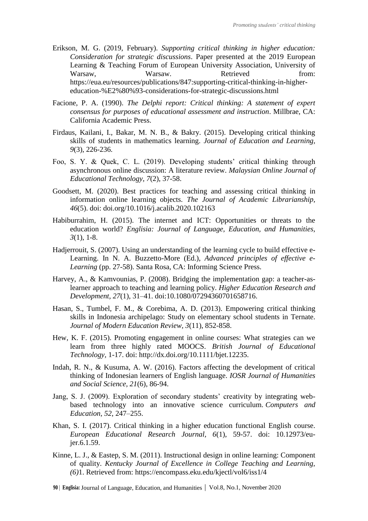- Erikson, M. G. (2019, February). *Supporting critical thinking in higher education: Consideration for strategic discussions*. Paper presented at the 2019 European Learning & Teaching Forum of European University Association, University of Warsaw, Warsaw. Retrieved from: https://eua.eu/resources/publications/847:supporting-critical-thinking-in-highereducation-%E2%80%93-considerations-for-strategic-discussions.html
- Facione, P. A. (1990). *The Delphi report: Critical thinking: A statement of expert consensus for purposes of educational assessment and instruction*. Millbrae, CA: California Academic Press.
- Firdaus, Kailani, I., Bakar, M. N. B., & Bakry. (2015). Developing critical thinking skills of students in mathematics learning. *Journal of Education and Learning, 9*(3), 226-236.
- Foo, S. Y. & Quek, C. L. (2019). Developing students' critical thinking through asynchronous online discussion: A literature review. *Malaysian Online Journal of Educational Technology, 7*(2), 37-58.
- Goodsett, M. (2020). Best practices for teaching and assessing critical thinking in information online learning objects. *The Journal of Academic Librarianship, 46*(5). doi: doi.org/10.1016/j.acalib.2020.102163
- Habiburrahim, H. (2015). The internet and ICT: Opportunities or threats to the education world? *Englisia: Journal of Language, Education, and Humanities, 3*(1), 1-8.
- Hadjerrouit, S. (2007). Using an understanding of the learning cycle to build effective e-Learning. In N. A. Buzzetto-More (Ed.), *Advanced principles of effective e-Learning* (pp. 27-58). Santa Rosa, CA: Informing Science Press.
- Harvey, A., & Kamvounias, P. (2008). Bridging the implementation gap: a teacher-aslearner approach to teaching and learning policy. *Higher Education Research and Development, 27*(1), 31–41. doi[:10.1080/07294360701658716.](https://doi.org/10.1080/07294360701658716)
- Hasan, S., Tumbel, F. M., & Corebima, A. D. (2013). Empowering critical thinking skills in Indonesia archipelago: Study on elementary school students in Ternate. *Journal of Modern Education Review, 3*(11), 852-858.
- Hew, K. F. (2015). Promoting engagement in online courses: What strategies can we learn from three highly rated MOOCS. *British Journal of Educational Technology,* 1-17. doi: http://dx.doi.org/10.1111/bjet.12235.
- Indah, R. N., & Kusuma, A. W. (2016). Factors affecting the development of critical thinking of Indonesian learners of English language. *IOSR Journal of Humanities and Social Science, 21*(6), 86-94.
- Jang, S. J. (2009). Exploration of secondary students' creativity by integrating webbased technology into an innovative science curriculum. *Computers and Education, 52*, 247–255.
- Khan, S. I. (2017). Critical thinking in a higher education functional English course. *European Educational Research Journal, 6*(1), 59-57. doi: 10.12973/eujer.6.1.59.
- Kinne, L. J., & Eastep, S. M. (2011). Instructional design in online learning: Component of quality. *Kentucky Journal of Excellence in College Teaching and Learning, (6)*1. Retrieved from: https://encompass.eku.edu/kjectl/vol6/iss1/4

**<sup>90</sup>** <sup>|</sup>**Englisia:** Journal of Language, Education, and Humanities **|** Vol.8, No.1, November 2020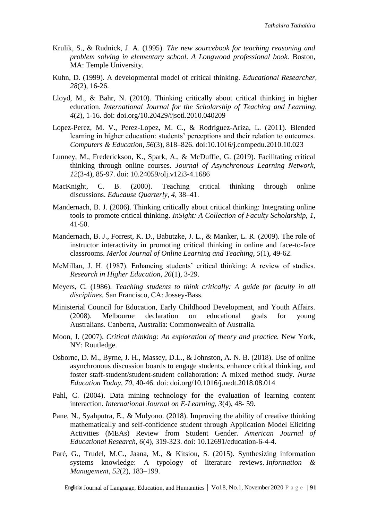- Krulik, S., & Rudnick, J. A. (1995). *The new sourcebook for teaching reasoning and problem solving in elementary school. A Longwood professional book.* Boston, MA: Temple University.
- Kuhn, D. (1999). A developmental model of critical thinking. *Educational Researcher, 28*(2), 16-26.
- Lloyd, M., & Bahr, N. (2010). Thinking critically about critical thinking in higher education. *International Journal for the Scholarship of Teaching and Learning, 4*(2), 1-16. doi: doi.org/10.20429/ijsotl.2010.040209
- Lopez-Perez, M. V., Perez-Lopez, M. C., & Rodriguez-Ariza, L. (2011). Blended learning in higher education: students' perceptions and their relation to outcomes. *Computers & Education, 56*(3), 818–826. doi:10.1016/j.compedu.2010.10.023
- Lunney, M., Frederickson, K., Spark, A., & McDuffie, G. (2019). Facilitating critical thinking through online courses. *Journal of Asynchronous Learning Network, 12*(3-4), 85-97. doi: 10.24059/olj.v12i3-4.1686
- MacKnight, C. B. (2000). Teaching critical thinking through online discussions. *Educause Quarterly, 4,* 38–41.
- Mandernach, B. J. (2006). Thinking critically about critical thinking: Integrating online tools to promote critical thinking. *InSight: A Collection of Faculty Scholarship, 1*, 41-50.
- Mandernach, B. J., Forrest, K. D., Babutzke, J. L., & Manker, L. R. (2009). The role of instructor interactivity in promoting critical thinking in online and face-to-face classrooms. *Merlot Journal of Online Learning and Teaching*, *5*(1), 49-62.
- McMillan, J. H. (1987). Enhancing students' critical thinking: A review of studies. *Research in Higher Education, 26*(1), 3-29.
- Meyers, C. (1986). *Teaching students to think critically: A guide for faculty in all disciplines.* San Francisco, CA: Jossey-Bass.
- Ministerial Council for Education, Early Childhood Development, and Youth Affairs. (2008). Melbourne declaration on educational goals for young Australians. Canberra, Australia: Commonwealth of Australia.
- Moon, J. (2007). *Critical thinking: An exploration of theory and practice.* New York, NY: Routledge.
- Osborne, D. M., Byrne, J. H., Massey, D.L., & Johnston, A. N. B. (2018). Use of online asynchronous discussion boards to engage students, enhance critical thinking, and foster staff-student/student-student collaboration: A mixed method study. *Nurse Education Today, 70,* 40-46. doi: doi.org/10.1016/j.nedt.2018.08.014
- Pahl, C. (2004). Data mining technology for the evaluation of learning content interaction. *International Journal on E-Learning, 3*(4), 48- 59.
- Pane, N., Syahputra, E., & Mulyono. (2018). Improving the ability of creative thinking mathematically and self-confidence student through Application Model Eliciting Activities (MEAs) Review from Student Gender. *American Journal of Educational Research, 6*(4), 319-323. doi: 10.12691/education-6-4-4.
- Paré, G., Trudel, M.C., Jaana, M., & Kitsiou, S. (2015). Synthesizing information systems knowledge: A typology of literature reviews. *Information & Management, 52*(2), 183–199.